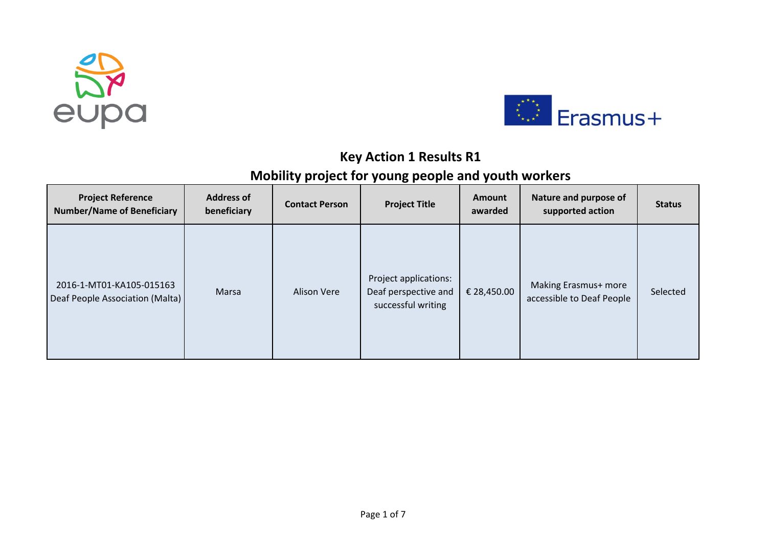



## **Key Action 1 Results R1**

## **Mobility project for young people and youth workers**

| <b>Project Reference</b><br><b>Number/Name of Beneficiary</b> | <b>Address of</b><br>beneficiary | <b>Contact Person</b> | <b>Project Title</b>                                                | <b>Amount</b><br>awarded | Nature and purpose of<br>supported action         | <b>Status</b> |
|---------------------------------------------------------------|----------------------------------|-----------------------|---------------------------------------------------------------------|--------------------------|---------------------------------------------------|---------------|
| 2016-1-MT01-KA105-015163<br>Deaf People Association (Malta)   | Marsa                            | <b>Alison Vere</b>    | Project applications:<br>Deaf perspective and<br>successful writing | € 28,450.00              | Making Erasmus+ more<br>accessible to Deaf People | Selected      |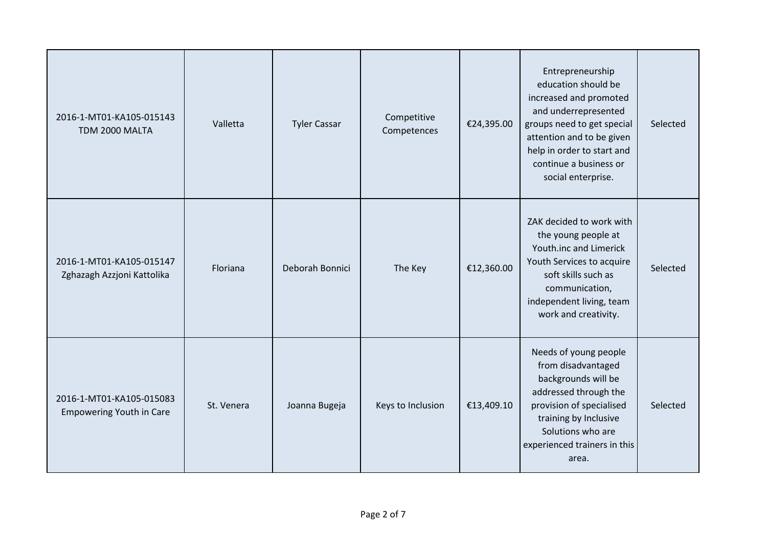| 2016-1-MT01-KA105-015143<br>TDM 2000 MALTA                  | Valletta   | <b>Tyler Cassar</b> | Competitive<br>Competences | €24,395.00 | Entrepreneurship<br>education should be<br>increased and promoted<br>and underrepresented<br>groups need to get special<br>attention and to be given<br>help in order to start and<br>continue a business or<br>social enterprise. | Selected |
|-------------------------------------------------------------|------------|---------------------|----------------------------|------------|------------------------------------------------------------------------------------------------------------------------------------------------------------------------------------------------------------------------------------|----------|
| 2016-1-MT01-KA105-015147<br>Zghazagh Azzjoni Kattolika      | Floriana   | Deborah Bonnici     | The Key                    | €12,360.00 | ZAK decided to work with<br>the young people at<br>Youth.inc and Limerick<br>Youth Services to acquire<br>soft skills such as<br>communication,<br>independent living, team<br>work and creativity.                                | Selected |
| 2016-1-MT01-KA105-015083<br><b>Empowering Youth in Care</b> | St. Venera | Joanna Bugeja       | Keys to Inclusion          | €13,409.10 | Needs of young people<br>from disadvantaged<br>backgrounds will be<br>addressed through the<br>provision of specialised<br>training by Inclusive<br>Solutions who are<br>experienced trainers in this<br>area.                     | Selected |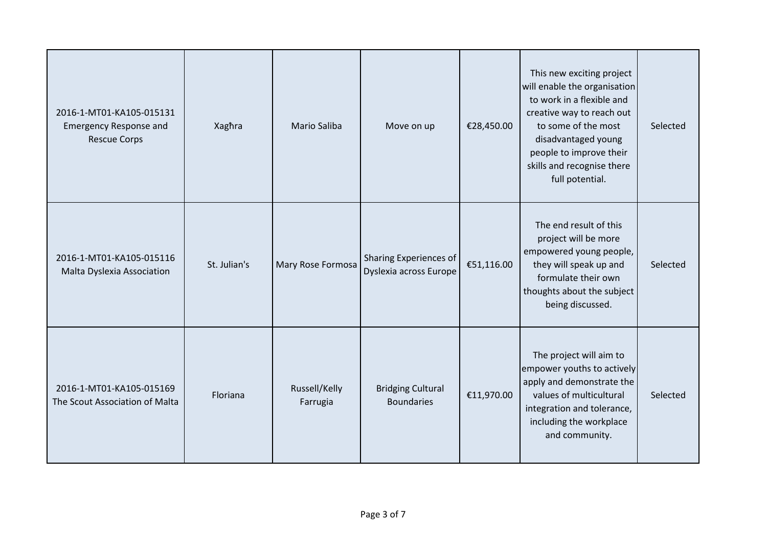| 2016-1-MT01-KA105-015131<br><b>Emergency Response and</b><br><b>Rescue Corps</b> | Xaghra       | <b>Mario Saliba</b>       | Move on up                                       | €28,450.00 | This new exciting project<br>will enable the organisation<br>to work in a flexible and<br>creative way to reach out<br>to some of the most<br>disadvantaged young<br>people to improve their<br>skills and recognise there<br>full potential. | Selected |
|----------------------------------------------------------------------------------|--------------|---------------------------|--------------------------------------------------|------------|-----------------------------------------------------------------------------------------------------------------------------------------------------------------------------------------------------------------------------------------------|----------|
| 2016-1-MT01-KA105-015116<br>Malta Dyslexia Association                           | St. Julian's | Mary Rose Formosa         | Sharing Experiences of<br>Dyslexia across Europe | €51,116.00 | The end result of this<br>project will be more<br>empowered young people,<br>they will speak up and<br>formulate their own<br>thoughts about the subject<br>being discussed.                                                                  | Selected |
| 2016-1-MT01-KA105-015169<br>The Scout Association of Malta                       | Floriana     | Russell/Kelly<br>Farrugia | <b>Bridging Cultural</b><br><b>Boundaries</b>    | €11,970.00 | The project will aim to<br>empower youths to actively<br>apply and demonstrate the<br>values of multicultural<br>integration and tolerance,<br>including the workplace<br>and community.                                                      | Selected |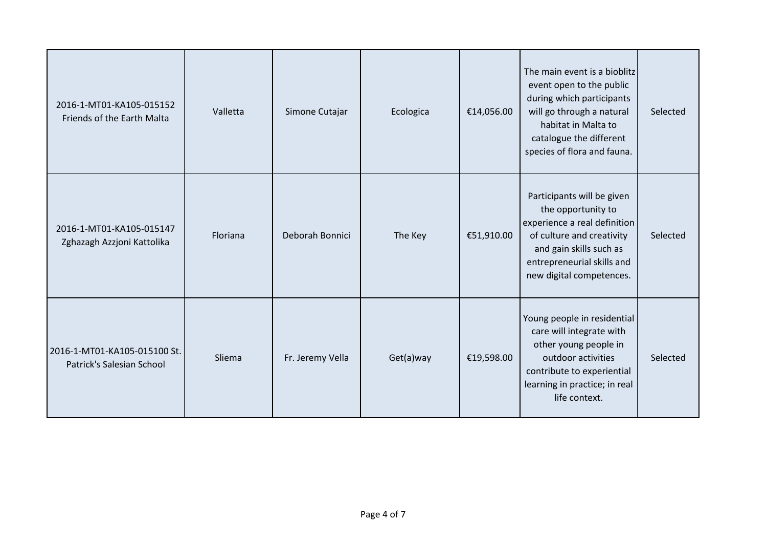| 2016-1-MT01-KA105-015152<br>Friends of the Earth Malta    | Valletta | Simone Cutajar   | Ecologica | €14,056.00 | The main event is a bioblitz<br>event open to the public<br>during which participants<br>will go through a natural<br>habitat in Malta to<br>catalogue the different<br>species of flora and fauna. | Selected |
|-----------------------------------------------------------|----------|------------------|-----------|------------|-----------------------------------------------------------------------------------------------------------------------------------------------------------------------------------------------------|----------|
| 2016-1-MT01-KA105-015147<br>Zghazagh Azzjoni Kattolika    | Floriana | Deborah Bonnici  | The Key   | €51,910.00 | Participants will be given<br>the opportunity to<br>experience a real definition<br>of culture and creativity<br>and gain skills such as<br>entrepreneurial skills and<br>new digital competences.  | Selected |
| 2016-1-MT01-KA105-015100 St.<br>Patrick's Salesian School | Sliema   | Fr. Jeremy Vella | Get(a)way | €19,598.00 | Young people in residential<br>care will integrate with<br>other young people in<br>outdoor activities<br>contribute to experiential<br>learning in practice; in real<br>life context.              | Selected |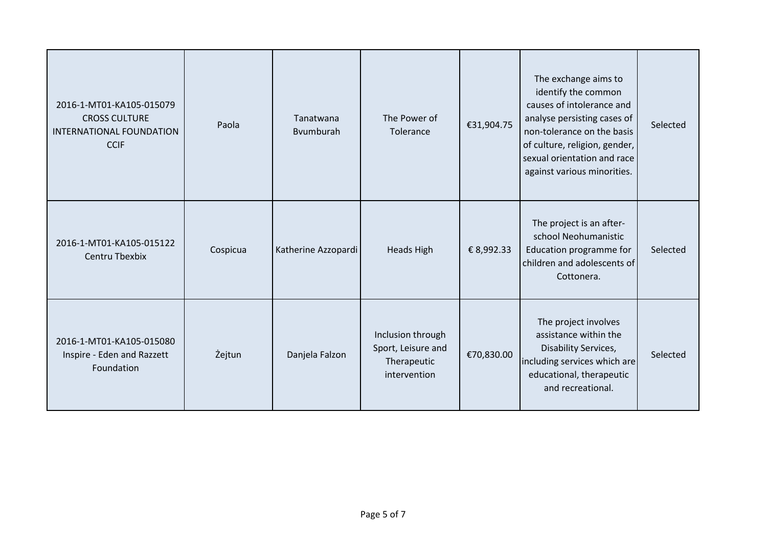| 2016-1-MT01-KA105-015079<br><b>CROSS CULTURE</b><br><b>INTERNATIONAL FOUNDATION</b><br><b>CCIF</b> | Paola    | Tanatwana<br>Bvumburah | The Power of<br>Tolerance                                              | €31,904.75 | The exchange aims to<br>identify the common<br>causes of intolerance and<br>analyse persisting cases of<br>non-tolerance on the basis<br>of culture, religion, gender,<br>sexual orientation and race<br>against various minorities. | Selected |
|----------------------------------------------------------------------------------------------------|----------|------------------------|------------------------------------------------------------------------|------------|--------------------------------------------------------------------------------------------------------------------------------------------------------------------------------------------------------------------------------------|----------|
| 2016-1-MT01-KA105-015122<br>Centru Tbexbix                                                         | Cospicua | Katherine Azzopardi    | <b>Heads High</b>                                                      | € 8,992.33 | The project is an after-<br>school Neohumanistic<br>Education programme for<br>children and adolescents of<br>Cottonera.                                                                                                             | Selected |
| 2016-1-MT01-KA105-015080<br>Inspire - Eden and Razzett<br>Foundation                               | Żejtun   | Danjela Falzon         | Inclusion through<br>Sport, Leisure and<br>Therapeutic<br>intervention | €70,830.00 | The project involves<br>assistance within the<br>Disability Services,<br>including services which are<br>educational, therapeutic<br>and recreational.                                                                               | Selected |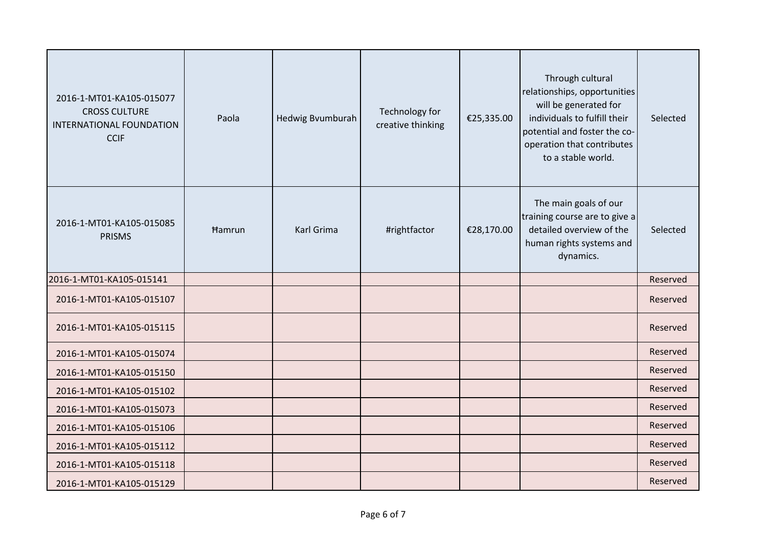| 2016-1-MT01-KA105-015077<br><b>CROSS CULTURE</b><br>INTERNATIONAL FOUNDATION<br><b>CCIF</b> | Paola         | Hedwig Bvumburah | Technology for<br>creative thinking | €25,335.00 | Through cultural<br>relationships, opportunities<br>will be generated for<br>individuals to fulfill their<br>potential and foster the co-<br>operation that contributes<br>to a stable world. | Selected |
|---------------------------------------------------------------------------------------------|---------------|------------------|-------------------------------------|------------|-----------------------------------------------------------------------------------------------------------------------------------------------------------------------------------------------|----------|
| 2016-1-MT01-KA105-015085<br><b>PRISMS</b>                                                   | <b>Hamrun</b> | Karl Grima       | #rightfactor                        | €28,170.00 | The main goals of our<br>training course are to give a<br>detailed overview of the<br>human rights systems and<br>dynamics.                                                                   | Selected |
| 2016-1-MT01-KA105-015141                                                                    |               |                  |                                     |            |                                                                                                                                                                                               | Reserved |
| 2016-1-MT01-KA105-015107                                                                    |               |                  |                                     |            |                                                                                                                                                                                               | Reserved |
| 2016-1-MT01-KA105-015115                                                                    |               |                  |                                     |            |                                                                                                                                                                                               | Reserved |
| 2016-1-MT01-KA105-015074                                                                    |               |                  |                                     |            |                                                                                                                                                                                               | Reserved |
| 2016-1-MT01-KA105-015150                                                                    |               |                  |                                     |            |                                                                                                                                                                                               | Reserved |
| 2016-1-MT01-KA105-015102                                                                    |               |                  |                                     |            |                                                                                                                                                                                               | Reserved |
| 2016-1-MT01-KA105-015073                                                                    |               |                  |                                     |            |                                                                                                                                                                                               | Reserved |
| 2016-1-MT01-KA105-015106                                                                    |               |                  |                                     |            |                                                                                                                                                                                               | Reserved |
| 2016-1-MT01-KA105-015112                                                                    |               |                  |                                     |            |                                                                                                                                                                                               | Reserved |
| 2016-1-MT01-KA105-015118                                                                    |               |                  |                                     |            |                                                                                                                                                                                               | Reserved |
| 2016-1-MT01-KA105-015129                                                                    |               |                  |                                     |            |                                                                                                                                                                                               | Reserved |